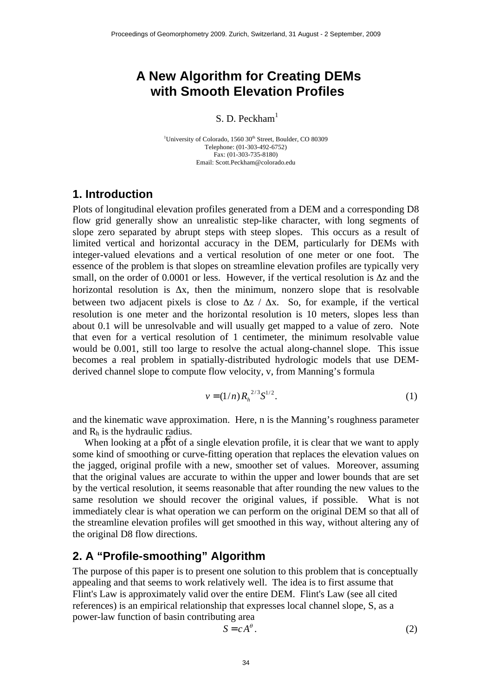# **A New Algorithm for Creating DEMs with Smooth Elevation Profiles**

S. D. Peckham<sup>1</sup>

<sup>1</sup>University of Colorado, 1560 30<sup>th</sup> Street, Boulder, CO 80309 Telephone: (01-303-492-6752) Fax: (01-303-735-8180) Email: Scott.Peckham@colorado.edu

#### **1. Introduction**

Plots of longitudinal elevation profiles generated from a DEM and a corresponding D8 flow grid generally show an unrealistic step-like character, with long segments of slope zero separated by abrupt steps with steep slopes. This occurs as a result of limited vertical and horizontal accuracy in the DEM, particularly for DEMs with integer-valued elevations and a vertical resolution of one meter or one foot. The essence of the problem is that slopes on streamline elevation profiles are typically very small, on the order of 0.0001 or less. However, if the vertical resolution is  $\Delta z$  and the horizontal resolution is  $\Delta x$ , then the minimum, nonzero slope that is resolvable between two adjacent pixels is close to  $\Delta z$  /  $\Delta x$ . So, for example, if the vertical resolution is one meter and the horizontal resolution is 10 meters, slopes less than about 0.1 will be unresolvable and will usually get mapped to a value of zero. Note that even for a vertical resolution of 1 centimeter, the minimum resolvable value would be 0.001, still too large to resolve the actual along-channel slope. This issue becomes a real problem in spatially-distributed hydrologic models that use DEMderived channel slope to compute flow velocity, v, from Manning's formula

$$
v = (1/n) R_h^{2/3} S^{1/2}.
$$
 (1)

and the kinematic wave approximation. Here, n is the Manning's roughness parameter and  $R_h$  is the hydraulic radius.

When looking at a poort of a single elevation profile, it is clear that we want to apply some kind of smoothing or curve-fitting operation that replaces the elevation values on the jagged, original profile with a new, smoother set of values. Moreover, assuming that the original values are accurate to within the upper and lower bounds that are set by the vertical resolution, it seems reasonable that after rounding the new values to the same resolution we should recover the original values, if possible. What is not immediately clear is what operation we can perform on the original DEM so that all of the streamline elevation profiles will get smoothed in this way, without altering any of the original D8 flow directions.

## **2. A "Profile-smoothing" Algorithm**

The purpose of this paper is to present one solution to this problem that is conceptually appealing and that seems to work relatively well. The idea is to first assume that Flint's Law is approximately valid over the entire DEM. Flint's Law (see all cited references) is an empirical relationship that expresses local channel slope, S, as a power-law function of basin contributing area

$$
S = cA^{\theta}.
$$
 (2)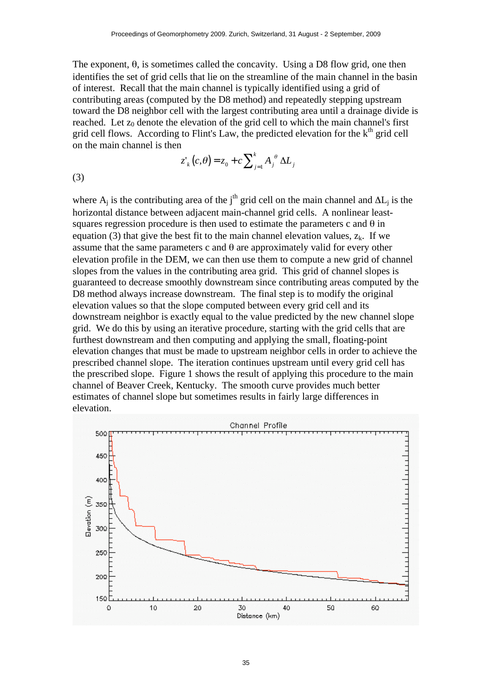The exponent,  $\theta$ , is sometimes called the concavity. Using a D8 flow grid, one then identifies the set of grid cells that lie on the streamline of the main channel in the basin of interest. Recall that the main channel is typically identified using a grid of contributing areas (computed by the D8 method) and repeatedly stepping upstream toward the D8 neighbor cell with the largest contributing area until a drainage divide is reached. Let  $z_0$  denote the elevation of the grid cell to which the main channel's first grid cell flows. According to Flint's Law, the predicted elevation for the  $k<sup>th</sup>$  grid cell on the main channel is then

$$
z'_{k}(c,\theta) = z_{0} + c \sum_{j=1}^{k} A_{j}^{\theta} \Delta L_{j}
$$

(3)

horizontal distance between adjacent main-channel grid cells. A nonlinear leastwhere  $A_i$  is the contributing area of the j<sup>th</sup> grid cell on the main channel and  $\Delta L_i$  is the squares regression procedure is then used to estimate the parameters c and  $\theta$  in equation (3) that give the best fit to the main channel elevation values,  $z_k$ . If we assume that the same parameters c and  $\theta$  are approximately valid for every other elevation profile in the DEM, we can then use them to compute a new grid of channel slopes from the values in the contributing area grid. This grid of channel slopes is guaranteed to decrease smoothly downstream since contributing areas computed by the D8 method always increase downstream. The final step is to modify the original elevation values so that the slope computed between every grid cell and its downstream neighbor is exactly equal to the value predicted by the new channel slope grid. We do this by using an iterative procedure, starting with the grid cells that are furthest downstream and then computing and applying the small, floating-point elevation changes that must be made to upstream neighbor cells in order to achieve the prescribed channel slope. The iteration continues upstream until every grid cell has the prescribed slope. Figure 1 shows the result of applying this procedure to the main channel of Beaver Creek, Kentucky. The smooth curve provides much better estimates of channel slope but sometimes results in fairly large differences in elevation.

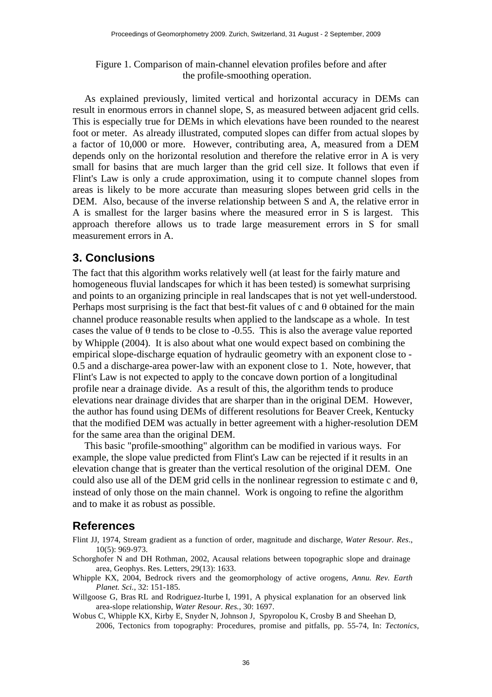Figure 1. Comparison of main-channel elevation profiles before and after the profile-smoothing operation.

As explained previously, limited vertical and horizontal accuracy in DEMs can result in enormous errors in channel slope, S, as measured between adjacent grid cells. This is especially true for DEMs in which elevations have been rounded to the nearest foot or meter. As already illustrated, computed slopes can differ from actual slopes by a factor of 10,000 or more. However, contributing area, A, measured from a DEM depends only on the horizontal resolution and therefore the relative error in A is very small for basins that are much larger than the grid cell size. It follows that even if Flint's Law is only a crude approximation, using it to compute channel slopes from areas is likely to be more accurate than measuring slopes between grid cells in the DEM. Also, because of the inverse relationship between S and A, the relative error in A is smallest for the larger basins where the measured error in S is largest. This approach therefore allows us to trade large measurement errors in S for small measurement errors in A.

## **3. Conclusions**

The fact that this algorithm works relatively well (at least for the fairly mature and homogeneous fluvial landscapes for which it has been tested) is somewhat surprising and points to an organizing principle in real landscapes that is not yet well-understood. Perhaps most surprising is the fact that best-fit values of c and θ obtained for the main channel produce reasonable results when applied to the landscape as a whole. In test cases the value of  $\theta$  tends to be close to -0.55. This is also the average value reported by Whipple (2004). It is also about what one would expect based on combining the empirical slope-discharge equation of hydraulic geometry with an exponent close to - 0.5 and a discharge-area power-law with an exponent close to 1. Note, however, that Flint's Law is not expected to apply to the concave down portion of a longitudinal profile near a drainage divide. As a result of this, the algorithm tends to produce elevations near drainage divides that are sharper than in the original DEM. However, the author has found using DEMs of different resolutions for Beaver Creek, Kentucky that the modified DEM was actually in better agreement with a higher-resolution DEM for the same area than the original DEM.

This basic "profile-smoothing" algorithm can be modified in various ways. For example, the slope value predicted from Flint's Law can be rejected if it results in an elevation change that is greater than the vertical resolution of the original DEM. One could also use all of the DEM grid cells in the nonlinear regression to estimate c and  $\theta$ , instead of only those on the main channel. Work is ongoing to refine the algorithm and to make it as robust as possible.

### **References**

- Flint JJ, 1974, Stream gradient as a function of order, magnitude and discharge, *Water Resour. Res*., 10(5): 969-973.
- Schorghofer N and DH Rothman, 2002, Acausal relations between topographic slope and drainage area, Geophys. Res. Letters, 29(13): 1633.
- Whipple KX, 2004, Bedrock rivers and the geomorphology of active orogens, *Annu. Rev. Earth Planet. Sci.*, 32: 151-185.
- Willgoose G, Bras RL and Rodriguez-Iturbe I, 1991, A physical explanation for an observed link area-slope relationship, *Water Resour. Res.*, 30: 1697.
- Wobus C, Whipple KX, Kirby E, Snyder N, Johnson J, Spyropolou K, Crosby B and Sheehan D, 2006, Tectonics from topography: Procedures, promise and pitfalls, pp. 55-74, In: *Tectonics,*